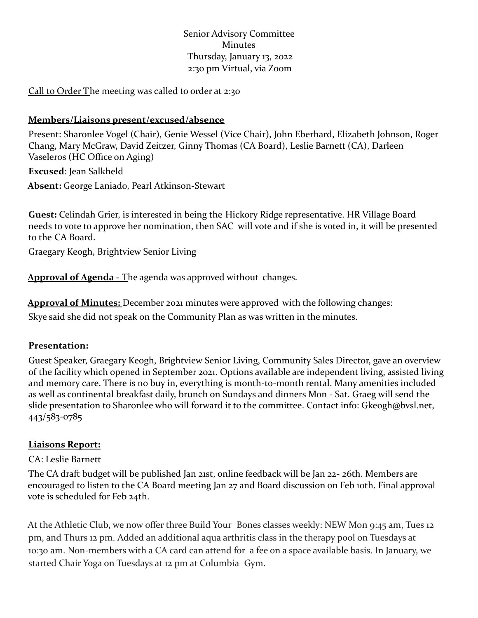Senior Advisory Committee Minutes Thursday, January 13, 2022 2:30 pm Virtual, via Zoom

Call to Order The meeting was called to order at 2:30

#### **Members/Liaisons present/excused/absence**

Present: Sharonlee Vogel (Chair), Genie Wessel (Vice Chair), John Eberhard, Elizabeth Johnson, Roger Chang, Mary McGraw, David Zeitzer, Ginny Thomas (CA Board), Leslie Barnett (CA), Darleen Vaseleros (HC Office on Aging)

**Excused**: Jean Salkheld **Absent:** George Laniado, Pearl Atkinson-Stewart

**Guest:** Celindah Grier, is interested in being the Hickory Ridge representative. HR Village Board needs to vote to approve her nomination, then SAC will vote and if she is voted in, it will be presented to the CA Board.

Graegary Keogh, Brightview Senior Living

**Approval of Agenda -** The agenda was approved without changes.

**Approval of Minutes:** December 2021 minutes were approved with the following changes: Skye said she did not speak on the Community Plan as was written in the minutes.

#### **Presentation:**

Guest Speaker, Graegary Keogh, Brightview Senior Living, Community Sales Director, gave an overview of the facility which opened in September 2021. Options available are independent living, assisted living and memory care. There is no buy in, everything is month-to-month rental. Many amenities included as well as continental breakfast daily, brunch on Sundays and dinners Mon - Sat. Graeg will send the slide presentation to Sharonlee who will forward it to the committee. Contact info: Gkeogh@bvsl.net, 443/583-0785

### **Liaisons Report:**

### CA: Leslie Barnett

The CA draft budget will be published Jan 21st, online feedback will be Jan 22- 26th. Members are encouraged to listen to the CA Board meeting Jan 27 and Board discussion on Feb 10th. Final approval vote is scheduled for Feb 24th.

At the Athletic Club, we now offer three Build Your Bones classes weekly: NEW Mon 9:45 am, Tues 12 pm, and Thurs 12 pm. Added an additional aqua arthritis class in the therapy pool on Tuesdays at 10:30 am. Non-members with a CA card can attend for a fee on a space available basis. In January, we started Chair Yoga on Tuesdays at 12 pm at Columbia Gym.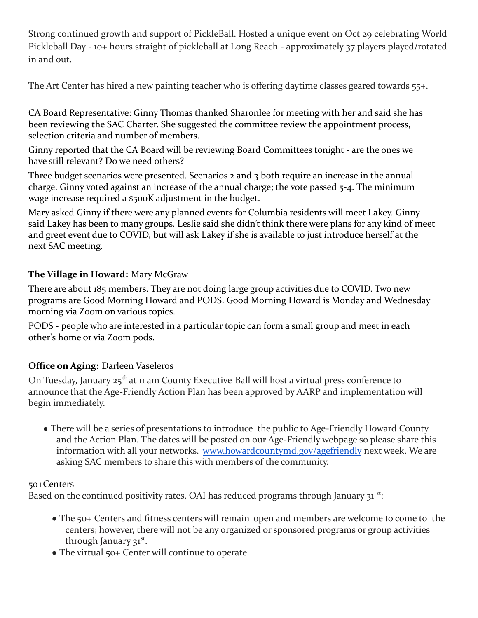Strong continued growth and support of PickleBall. Hosted a unique event on Oct 29 celebrating World Pickleball Day - 10+ hours straight of pickleball at Long Reach - approximately 37 players played/rotated in and out.

The Art Center has hired a new painting teacher who is offering daytime classes geared towards 55+.

CA Board Representative: Ginny Thomas thanked Sharonlee for meeting with her and said she has been reviewing the SAC Charter. She suggested the committee review the appointment process, selection criteria and number of members.

Ginny reported that the CA Board will be reviewing Board Committees tonight - are the ones we have still relevant? Do we need others?

Three budget scenarios were presented. Scenarios 2 and 3 both require an increase in the annual charge. Ginny voted against an increase of the annual charge; the vote passed 5-4. The minimum wage increase required a \$500K adjustment in the budget.

Mary asked Ginny if there were any planned events for Columbia residents will meet Lakey. Ginny said Lakey has been to many groups. Leslie said she didn't think there were plans for any kind of meet and greet event due to COVID, but will ask Lakey if she is available to just introduce herself at the next SAC meeting.

## **The Village in Howard:** Mary McGraw

There are about 185 members. They are not doing large group activities due to COVID. Two new programs are Good Morning Howard and PODS. Good Morning Howard is Monday and Wednesday morning via Zoom on various topics.

PODS - people who are interested in a particular topic can form a small group and meet in each other's home or via Zoom pods.

## **Office on Aging:** Darleen Vaseleros

On Tuesday, January 25<sup>th</sup> at 11 am County Executive Ball will host a virtual press conference to announce that the Age-Friendly Action Plan has been approved by AARP and implementation will begin immediately.

• There will be a series of presentations to introduce the public to Age-Friendly Howard County and the Action Plan. The dates will be posted on our Age-Friendly webpage so please share this information with all your networks. www.howardcountymd.gov/agefriendly next week. We are asking SAC members to share this with members of the community.

### 50+Centers

Based on the continued positivity rates, OAI has reduced programs through January 31<sup>st</sup>:

- The 50+ Centers and fitness centers will remain open and members are welcome to come to the centers; however, there will not be any organized or sponsored programs or group activities through January 31st.
- The virtual 50+ Center will continue to operate.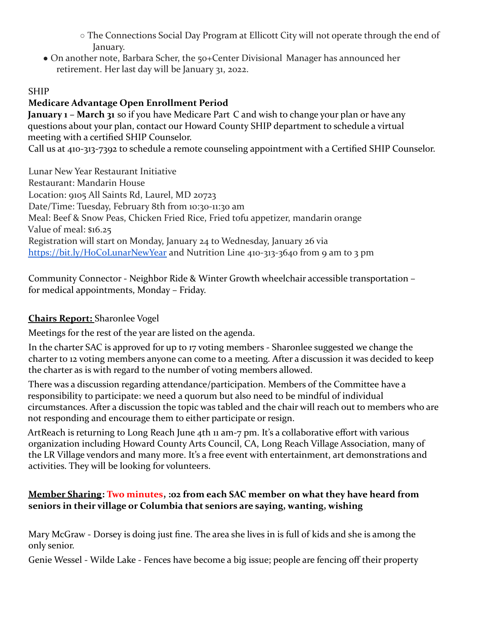○ The Connections Social Day Program at Ellicott City will not operate through the end of January.

• On another note, Barbara Scher, the 50+Center Divisional Manager has announced her retirement. Her last day will be January 31, 2022.

## SHIP

## **Medicare Advantage Open Enrollment Period**

**January 1 – March 31** so if you have Medicare Part C and wish to change your plan or have any questions about your plan, contact our Howard County SHIP department to schedule a virtual meeting with a certified SHIP Counselor.

Call us at 410-313-7392 to schedule a remote counseling appointment with a Certified SHIP Counselor.

Lunar New Year Restaurant Initiative Restaurant: Mandarin House Location: 9105 All Saints Rd, Laurel, MD 20723 Date/Time: Tuesday, February 8th from 10:30-11:30 am Meal: Beef & Snow Peas, Chicken Fried Rice, Fried tofu appetizer, mandarin orange Value of meal: \$16.25 Registration will start on Monday, January 24 to Wednesday, January 26 via https://bit.ly/HoCoLunarNewYear and Nutrition Line 410-313-3640 from 9 am to 3 pm

Community Connector - Neighbor Ride & Winter Growth wheelchair accessible transportation – for medical appointments, Monday – Friday.

# **Chairs Report:** Sharonlee Vogel

Meetings for the rest of the year are listed on the agenda.

In the charter SAC is approved for up to 17 voting members - Sharonlee suggested we change the charter to 12 voting members anyone can come to a meeting. After a discussion it was decided to keep the charter as is with regard to the number of voting members allowed.

There was a discussion regarding attendance/participation. Members of the Committee have a responsibility to participate: we need a quorum but also need to be mindful of individual circumstances. After a discussion the topic was tabled and the chair will reach out to members who are not responding and encourage them to either participate or resign.

ArtReach is returning to Long Reach June 4th 11 am-7 pm. It's a collaborative effort with various organization including Howard County Arts Council, CA, Long Reach Village Association, many of the LR Village vendors and many more. It's a free event with entertainment, art demonstrations and activities. They will be looking for volunteers.

## **Member Sharing: Two minutes, :02 from each SAC member on what they have heard from seniors in their village or Columbia that seniors are saying, wanting, wishing**

Mary McGraw - Dorsey is doing just fine. The area she lives in is full of kids and she is among the only senior.

Genie Wessel - Wilde Lake - Fences have become a big issue; people are fencing off their property